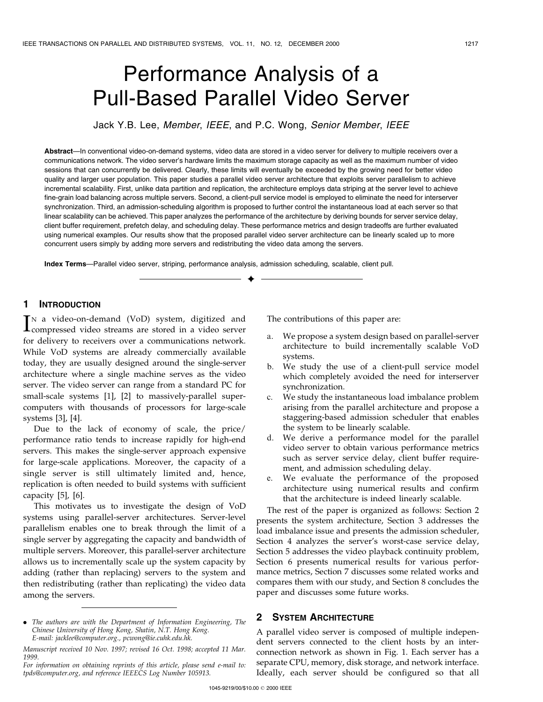# Performance Analysis of a Pull-Based Parallel Video Server

Jack Y.B. Lee, Member, IEEE, and P.C. Wong, Senior Member, IEEE

Abstract—In conventional video-on-demand systems, video data are stored in a video server for delivery to multiple receivers over a communications network. The video server's hardware limits the maximum storage capacity as well as the maximum number of video sessions that can concurrently be delivered. Clearly, these limits will eventually be exceeded by the growing need for better video quality and larger user population. This paper studies a parallel video server architecture that exploits server parallelism to achieve incremental scalability. First, unlike data partition and replication, the architecture employs data striping at the server level to achieve fine-grain load balancing across multiple servers. Second, a client-pull service model is employed to eliminate the need for interserver synchronization. Third, an admission-scheduling algorithm is proposed to further control the instantaneous load at each server so that linear scalability can be achieved. This paper analyzes the performance of the architecture by deriving bounds for server service delay, client buffer requirement, prefetch delay, and scheduling delay. These performance metrics and design tradeoffs are further evaluated using numerical examples. Our results show that the proposed parallel video server architecture can be linearly scaled up to more concurrent users simply by adding more servers and redistributing the video data among the servers.

æ

Index Terms-Parallel video server, striping, performance analysis, admission scheduling, scalable, client pull.

# 1 INTRODUCTION

IN a video-on-demand (VoD) system, digitized and<br>compressed video streams are stored in a video server N a video-on-demand (VoD) system, digitized and for delivery to receivers over a communications network. While VoD systems are already commercially available today, they are usually designed around the single-server architecture where a single machine serves as the video server. The video server can range from a standard PC for small-scale systems [1], [2] to massively-parallel supercomputers with thousands of processors for large-scale systems [3], [4].

Due to the lack of economy of scale, the price/ performance ratio tends to increase rapidly for high-end servers. This makes the single-server approach expensive for large-scale applications. Moreover, the capacity of a single server is still ultimately limited and, hence, replication is often needed to build systems with sufficient capacity [5], [6].

This motivates us to investigate the design of VoD systems using parallel-server architectures. Server-level parallelism enables one to break through the limit of a single server by aggregating the capacity and bandwidth of multiple servers. Moreover, this parallel-server architecture allows us to incrementally scale up the system capacity by adding (rather than replacing) servers to the system and then redistributing (rather than replicating) the video data among the servers.

The contributions of this paper are:

- We propose a system design based on parallel-server architecture to build incrementally scalable VoD systems.
- b. We study the use of a client-pull service model which completely avoided the need for interserver synchronization.
- c. We study the instantaneous load imbalance problem arising from the parallel architecture and propose a staggering-based admission scheduler that enables the system to be linearly scalable.
- d. We derive a performance model for the parallel video server to obtain various performance metrics such as server service delay, client buffer requirement, and admission scheduling delay.
- We evaluate the performance of the proposed architecture using numerical results and confirm that the architecture is indeed linearly scalable.

The rest of the paper is organized as follows: Section 2 presents the system architecture, Section 3 addresses the load imbalance issue and presents the admission scheduler, Section 4 analyzes the server's worst-case service delay, Section 5 addresses the video playback continuity problem, Section 6 presents numerical results for various performance metrics, Section 7 discusses some related works and compares them with our study, and Section 8 concludes the paper and discusses some future works.

## 2 SYSTEM ARCHITECTURE

A parallel video server is composed of multiple independent servers connected to the client hosts by an interconnection network as shown in Fig. 1. Each server has a separate CPU, memory, disk storage, and network interface. Ideally, each server should be configured so that all

<sup>.</sup> The authors are with the Department of Information Engineering, The Chinese University of Hong Kong, Shatin, N.T. Hong Kong. E-mail: jacklee@computer.org., pcwong@ie.cuhk.edu.hk.

Manuscript received 10 Nov. 1997; revised 16 Oct. 1998; accepted 11 Mar. 1999.

For information on obtaining reprints of this article, please send e-mail to: tpds@computer.org, and reference IEEECS Log Number 105913.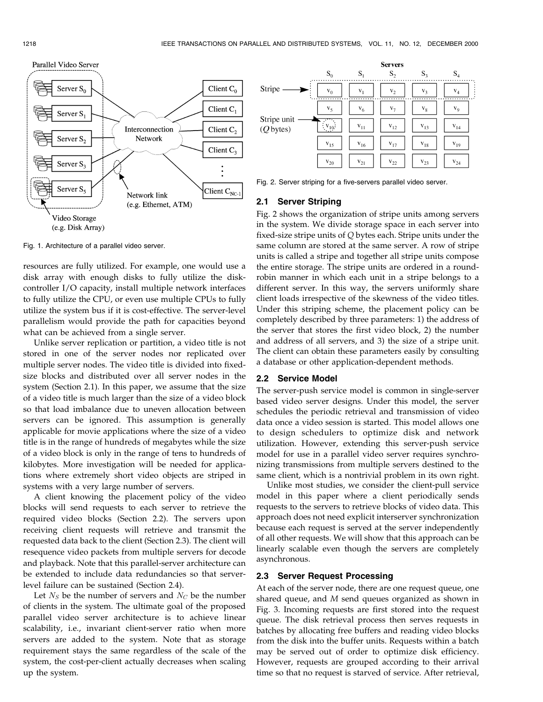

Fig. 1. Architecture of a parallel video server.

resources are fully utilized. For example, one would use a disk array with enough disks to fully utilize the diskcontroller I/O capacity, install multiple network interfaces to fully utilize the CPU, or even use multiple CPUs to fully utilize the system bus if it is cost-effective. The server-level parallelism would provide the path for capacities beyond what can be achieved from a single server.

Unlike server replication or partition, a video title is not stored in one of the server nodes nor replicated over multiple server nodes. The video title is divided into fixedsize blocks and distributed over all server nodes in the system (Section 2.1). In this paper, we assume that the size of a video title is much larger than the size of a video block so that load imbalance due to uneven allocation between servers can be ignored. This assumption is generally applicable for movie applications where the size of a video title is in the range of hundreds of megabytes while the size of a video block is only in the range of tens to hundreds of kilobytes. More investigation will be needed for applications where extremely short video objects are striped in systems with a very large number of servers.

A client knowing the placement policy of the video blocks will send requests to each server to retrieve the required video blocks (Section 2.2). The servers upon receiving client requests will retrieve and transmit the requested data back to the client (Section 2.3). The client will resequence video packets from multiple servers for decode and playback. Note that this parallel-server architecture can be extended to include data redundancies so that serverlevel failure can be sustained (Section 2.4).

Let  $N_S$  be the number of servers and  $N_C$  be the number of clients in the system. The ultimate goal of the proposed parallel video server architecture is to achieve linear scalability, i.e., invariant client-server ratio when more servers are added to the system. Note that as storage requirement stays the same regardless of the scale of the system, the cost-per-client actually decreases when scaling up the system.



Fig. 2. Server striping for a five-servers parallel video server.

#### 2.1 Server Striping

Fig. 2 shows the organization of stripe units among servers in the system. We divide storage space in each server into fixed-size stripe units of Q bytes each. Stripe units under the same column are stored at the same server. A row of stripe units is called a stripe and together all stripe units compose the entire storage. The stripe units are ordered in a roundrobin manner in which each unit in a stripe belongs to a different server. In this way, the servers uniformly share client loads irrespective of the skewness of the video titles. Under this striping scheme, the placement policy can be completely described by three parameters: 1) the address of the server that stores the first video block, 2) the number and address of all servers, and 3) the size of a stripe unit. The client can obtain these parameters easily by consulting a database or other application-dependent methods.

## 2.2 Service Model

The server-push service model is common in single-server based video server designs. Under this model, the server schedules the periodic retrieval and transmission of video data once a video session is started. This model allows one to design schedulers to optimize disk and network utilization. However, extending this server-push service model for use in a parallel video server requires synchronizing transmissions from multiple servers destined to the same client, which is a nontrivial problem in its own right.

Unlike most studies, we consider the client-pull service model in this paper where a client periodically sends requests to the servers to retrieve blocks of video data. This approach does not need explicit interserver synchronization because each request is served at the server independently of all other requests. We will show that this approach can be linearly scalable even though the servers are completely asynchronous.

#### 2.3 Server Request Processing

At each of the server node, there are one request queue, one shared queue, and M send queues organized as shown in Fig. 3. Incoming requests are first stored into the request queue. The disk retrieval process then serves requests in batches by allocating free buffers and reading video blocks from the disk into the buffer units. Requests within a batch may be served out of order to optimize disk efficiency. However, requests are grouped according to their arrival time so that no request is starved of service. After retrieval,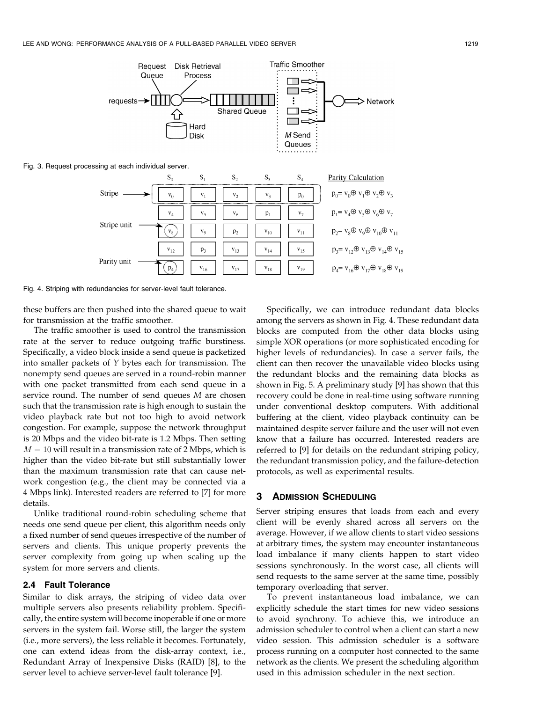

Fig. 4. Striping with redundancies for server-level fault tolerance.

these buffers are then pushed into the shared queue to wait for transmission at the traffic smoother.

The traffic smoother is used to control the transmission rate at the server to reduce outgoing traffic burstiness. Specifically, a video block inside a send queue is packetized into smaller packets of Y bytes each for transmission. The nonempty send queues are served in a round-robin manner with one packet transmitted from each send queue in a service round. The number of send queues M are chosen such that the transmission rate is high enough to sustain the video playback rate but not too high to avoid network congestion. For example, suppose the network throughput is 20 Mbps and the video bit-rate is 1.2 Mbps. Then setting  $M = 10$  will result in a transmission rate of 2 Mbps, which is higher than the video bit-rate but still substantially lower than the maximum transmission rate that can cause network congestion (e.g., the client may be connected via a 4 Mbps link). Interested readers are referred to [7] for more details.

Unlike traditional round-robin scheduling scheme that needs one send queue per client, this algorithm needs only a fixed number of send queues irrespective of the number of servers and clients. This unique property prevents the server complexity from going up when scaling up the system for more servers and clients.

## 2.4 Fault Tolerance

Similar to disk arrays, the striping of video data over multiple servers also presents reliability problem. Specifically, the entire system will become inoperable if one or more servers in the system fail. Worse still, the larger the system (i.e., more servers), the less reliable it becomes. Fortunately, one can extend ideas from the disk-array context, i.e., Redundant Array of Inexpensive Disks (RAID) [8], to the server level to achieve server-level fault tolerance [9].

Specifically, we can introduce redundant data blocks among the servers as shown in Fig. 4. These redundant data blocks are computed from the other data blocks using simple XOR operations (or more sophisticated encoding for higher levels of redundancies). In case a server fails, the client can then recover the unavailable video blocks using the redundant blocks and the remaining data blocks as shown in Fig. 5. A preliminary study [9] has shown that this recovery could be done in real-time using software running under conventional desktop computers. With additional buffering at the client, video playback continuity can be maintained despite server failure and the user will not even know that a failure has occurred. Interested readers are referred to [9] for details on the redundant striping policy, the redundant transmission policy, and the failure-detection protocols, as well as experimental results.

# 3 ADMISSION SCHEDULING

Server striping ensures that loads from each and every client will be evenly shared across all servers on the average. However, if we allow clients to start video sessions at arbitrary times, the system may encounter instantaneous load imbalance if many clients happen to start video sessions synchronously. In the worst case, all clients will send requests to the same server at the same time, possibly temporary overloading that server.

To prevent instantaneous load imbalance, we can explicitly schedule the start times for new video sessions to avoid synchrony. To achieve this, we introduce an admission scheduler to control when a client can start a new video session. This admission scheduler is a software process running on a computer host connected to the same network as the clients. We present the scheduling algorithm used in this admission scheduler in the next section.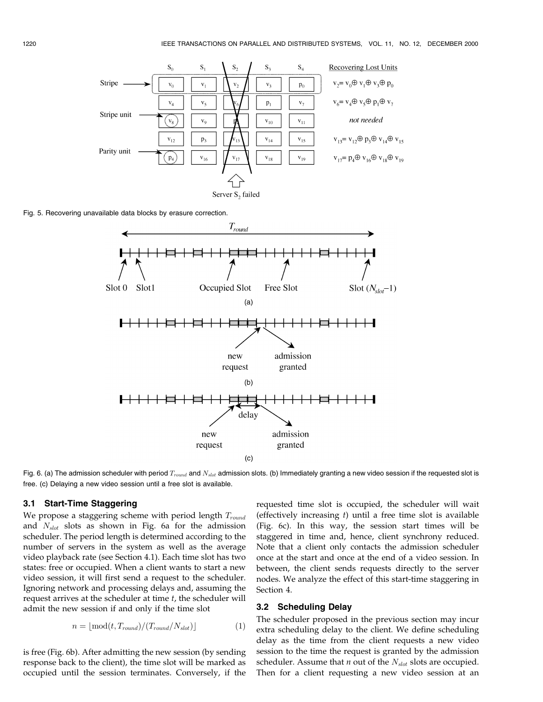

Fig. 5. Recovering unavailable data blocks by erasure correction.



Fig. 6. (a) The admission scheduler with period  $T_{round}$  and  $N_{slot}$  admission slots. (b) Immediately granting a new video session if the requested slot is free. (c) Delaying a new video session until a free slot is available.

#### 3.1 Start-Time Staggering

We propose a staggering scheme with period length  $T_{round}$ and  $N_{slot}$  slots as shown in Fig. 6a for the admission scheduler. The period length is determined according to the number of servers in the system as well as the average video playback rate (see Section 4.1). Each time slot has two states: free or occupied. When a client wants to start a new video session, it will first send a request to the scheduler. Ignoring network and processing delays and, assuming the request arrives at the scheduler at time  $t$ , the scheduler will admit the new session if and only if the time slot

$$
n = \lfloor \text{mod}(t, T_{round})/(T_{round}/N_{slot}) \rfloor \tag{1}
$$

is free (Fig. 6b). After admitting the new session (by sending response back to the client), the time slot will be marked as occupied until the session terminates. Conversely, if the

requested time slot is occupied, the scheduler will wait (effectively increasing  $t$ ) until a free time slot is available (Fig. 6c). In this way, the session start times will be staggered in time and, hence, client synchrony reduced. Note that a client only contacts the admission scheduler once at the start and once at the end of a video session. In between, the client sends requests directly to the server nodes. We analyze the effect of this start-time staggering in Section 4.

#### 3.2 Scheduling Delay

The scheduler proposed in the previous section may incur extra scheduling delay to the client. We define scheduling delay as the time from the client requests a new video session to the time the request is granted by the admission scheduler. Assume that  $n$  out of the  $N_{slot}$  slots are occupied. Then for a client requesting a new video session at an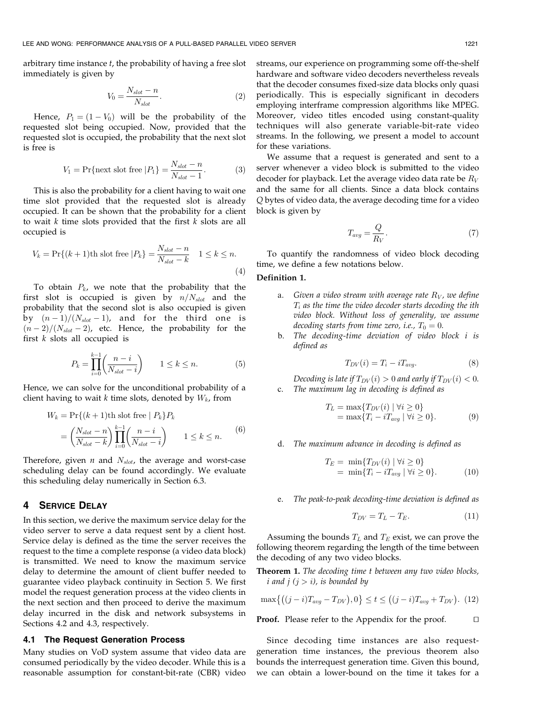arbitrary time instance  $t$ , the probability of having a free slot immediately is given by

$$
V_0 = \frac{N_{slot} - n}{N_{slot}}.\tag{2}
$$

Hence,  $P_1 = (1 - V_0)$  will be the probability of the requested slot being occupied. Now, provided that the requested slot is occupied, the probability that the next slot is free is

$$
V_1 = \Pr\{\text{next slot free} \mid P_1\} = \frac{N_{slot} - n}{N_{slot} - 1}.\tag{3}
$$

This is also the probability for a client having to wait one time slot provided that the requested slot is already occupied. It can be shown that the probability for a client to wait  $k$  time slots provided that the first  $k$  slots are all occupied is

$$
V_k = \Pr\{(k+1)\text{th slot free } |P_k\} = \frac{N_{slot} - n}{N_{slot} - k} \quad 1 \le k \le n. \tag{4}
$$

To obtain  $P_k$ , we note that the probability that the first slot is occupied is given by  $n/N_{slot}$  and the probability that the second slot is also occupied is given by  $(n-1)/(N_{slot}-1)$ , and for the third one is  $(n-2)/(N_{slot} - 2)$ , etc. Hence, the probability for the first  $k$  slots all occupied is

$$
P_k = \prod_{i=0}^{k-1} \left( \frac{n-i}{N_{slot} - i} \right) \qquad 1 \le k \le n. \tag{5}
$$

Hence, we can solve for the unconditional probability of a client having to wait  $k$  time slots, denoted by  $W_k$ , from

$$
W_k = \Pr\{(k+1)\text{th slot free} \mid P_k\} P_k
$$
  
= 
$$
\left(\frac{N_{slot} - n}{N_{slot} - k}\right) \prod_{i=0}^{k-1} \left(\frac{n-i}{N_{slot} - i}\right) \qquad 1 \le k \le n.
$$
 (6)

Therefore, given *n* and  $N_{slot}$ , the average and worst-case scheduling delay can be found accordingly. We evaluate this scheduling delay numerically in Section 6.3.

## 4 SERVICE DELAY

In this section, we derive the maximum service delay for the video server to serve a data request sent by a client host. Service delay is defined as the time the server receives the request to the time a complete response (a video data block) is transmitted. We need to know the maximum service delay to determine the amount of client buffer needed to guarantee video playback continuity in Section 5. We first model the request generation process at the video clients in the next section and then proceed to derive the maximum delay incurred in the disk and network subsystems in Sections 4.2 and 4.3, respectively.

# 4.1 The Request Generation Process

Many studies on VoD system assume that video data are consumed periodically by the video decoder. While this is a reasonable assumption for constant-bit-rate (CBR) video streams, our experience on programming some off-the-shelf hardware and software video decoders nevertheless reveals that the decoder consumes fixed-size data blocks only quasi periodically. This is especially significant in decoders employing interframe compression algorithms like MPEG. Moreover, video titles encoded using constant-quality techniques will also generate variable-bit-rate video streams. In the following, we present a model to account for these variations.

We assume that a request is generated and sent to a server whenever a video block is submitted to the video decoder for playback. Let the average video data rate be  $R_V$ and the same for all clients. Since a data block contains Q bytes of video data, the average decoding time for a video block is given by

$$
T_{avg} = \frac{Q}{R_V}.\tag{7}
$$

To quantify the randomness of video block decoding time, we define a few notations below.

# Definition 1.

- a. Given a video stream with average rate  $R_V$ , we define  $T_i$  as the time the video decoder starts decoding the ith video block. Without loss of generality, we assume decoding starts from time zero, i.e.,  $T_0 = 0$ .
- b. The decoding-time deviation of video block i is defined as

$$
T_{DV}(i) = T_i - iT_{avg}.\tag{8}
$$

Decoding is late if  $T_{DV}(i) > 0$  and early if  $T_{DV}(i) < 0$ . c. The maximum lag in decoding is defined as

$$
T_L = \max\{T_{DV}(i) \mid \forall i \ge 0\}
$$
  
= 
$$
\max\{T_i - i T_{avg} \mid \forall i \ge 0\}.
$$
 (9)

d. The maximum advance in decoding is defined as

$$
T_E = \min\{T_{DV}(i) \mid \forall i \ge 0\}
$$
  
= 
$$
\min\{T_i - iT_{avg} \mid \forall i \ge 0\}.
$$
 (10)

e. The peak-to-peak decoding-time deviation is defined as

$$
T_{DV} = T_L - T_E. \tag{11}
$$

Assuming the bounds  $T_L$  and  $T_E$  exist, we can prove the following theorem regarding the length of the time between the decoding of any two video blocks.

**Theorem 1.** The decoding time t between any two video blocks, *i* and *j*  $(j>i)$ , *is bounded by* 

$$
\max\{((j-i)T_{avg} - T_{DV}), 0\} \le t \le ((j-i)T_{avg} + T_{DV}). \tag{12}
$$

**Proof.** Please refer to the Appendix for the proof.  $\Box$ 

Since decoding time instances are also requestgeneration time instances, the previous theorem also bounds the interrequest generation time. Given this bound, we can obtain a lower-bound on the time it takes for a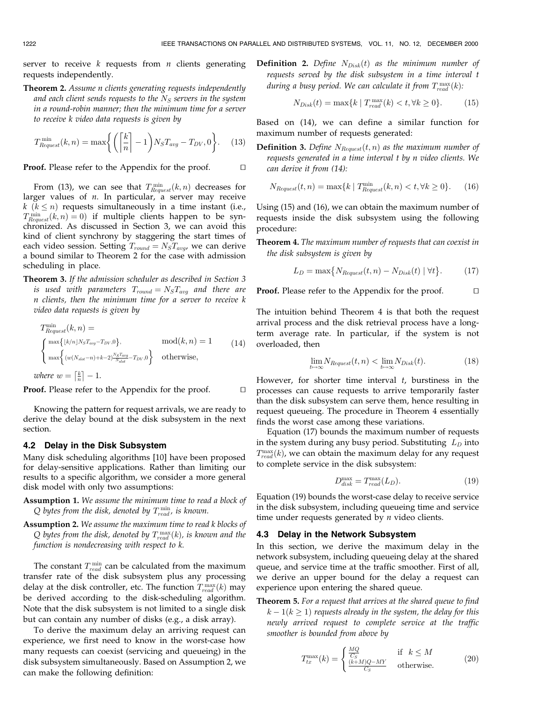server to receive  $k$  requests from  $n$  clients generating requests independently.

Theorem 2. Assume n clients generating requests independently and each client sends requests to the  $N<sub>S</sub>$  servers in the system in a round-robin manner; then the minimum time for a server to receive k video data requests is given by

$$
T_{Request}^{\min}(k, n) = \max\left\{ \left( \left\lceil \frac{k}{n} \right\rceil - 1 \right) N_S T_{avg} - T_{DV}, 0 \right\}.
$$
 (13)

**Proof.** Please refer to the Appendix for the proof.  $\Box$ 

From (13), we can see that  $T_{Request}^{\min}(k,n)$  decreases for larger values of n. In particular, a server may receive  $k$   $(k \leq n)$  requests simultaneously in a time instant (i.e.,  $T^{\min}_{Request}(k,n) = 0$ ) if multiple clients happen to be synchronized. As discussed in Section 3, we can avoid this kind of client synchrony by staggering the start times of each video session. Setting  $T_{round} = N_S T_{avg}$ , we can derive a bound similar to Theorem 2 for the case with admission scheduling in place.

Theorem 3. If the admission scheduler as described in Section 3 is used with parameters  $T_{round} = N_S T_{avg}$  and there are n clients, then the minimum time for a server to receive k video data requests is given by

$$
T_{Request}^{\min}(k, n) =
$$
\n
$$
\begin{cases}\n\max\{|k/n| N_S T_{avg} - T_{DV, 0}\}, & \text{mod}(k, n) = 1 \\
\max\{\langle w(N_{slot} - n) + k - 2\rangle_{\frac{N_S T_{avg}}{N_{slot}} - T_{DV, 0}}\} & \text{otherwise,} \n\end{cases}
$$
\n
$$
(14)
$$
\n
$$
where \ w = \left\lceil \frac{k}{n} \right\rceil - 1.
$$

**Proof.** Please refer to the Appendix for the proof.  $\Box$ 

Knowing the pattern for request arrivals, we are ready to derive the delay bound at the disk subsystem in the next section.

#### 4.2 Delay in the Disk Subsystem

Many disk scheduling algorithms [10] have been proposed for delay-sensitive applications. Rather than limiting our results to a specific algorithm, we consider a more general disk model with only two assumptions:

- Assumption 1. We assume the minimum time to read a block of Q bytes from the disk, denoted by  $T_{read}^{\min}$ , is known.
- Assumption 2. We assume the maximum time to read k blocks of Q bytes from the disk, denoted by  $T_{read}^{\,\mathrm{max}}(k)$ , is known and the function is nondecreasing with respect to k.

The constant  $T_{read}$  can be calculated from the maximum transfer rate of the disk subsystem plus any processing delay at the disk controller, etc. The function  $T^{\max}_{read}(k)$  may be derived according to the disk-scheduling algorithm. Note that the disk subsystem is not limited to a single disk but can contain any number of disks (e.g., a disk array).

To derive the maximum delay an arriving request can experience, we first need to know in the worst-case how many requests can coexist (servicing and queueing) in the disk subsystem simultaneously. Based on Assumption 2, we can make the following definition:

**Definition 2.** Define  $N_{Disk}(t)$  as the minimum number of requests served by the disk subsystem in a time interval t during a busy period. We can calculate it from  $T_{read}^{\,\mathrm{max}}(k)$ :

$$
N_{Disk}(t) = \max\{k \mid T_{read}^{max}(k) < t, \forall k \ge 0\}. \tag{15}
$$

Based on (14), we can define a similar function for maximum number of requests generated:

**Definition 3.** Define  $N_{Request}(t, n)$  as the maximum number of requests generated in a time interval t by n video clients. We can derive it from (14):

$$
N_{Request}(t, n) = \max\{k \mid T_{Request}^{\min}(k, n) < t, \forall k \ge 0\}. \tag{16}
$$

Using (15) and (16), we can obtain the maximum number of requests inside the disk subsystem using the following procedure:

Theorem 4. The maximum number of requests that can coexist in the disk subsystem is given by

$$
L_D = \max\{N_{Request}(t, n) - N_{Disk}(t) \mid \forall t\}.
$$
 (17)

**Proof.** Please refer to the Appendix for the proof. 
$$
\Box
$$

The intuition behind Theorem 4 is that both the request arrival process and the disk retrieval process have a longterm average rate. In particular, if the system is not overloaded, then

$$
\lim_{t \to \infty} N_{Request}(t, n) < \lim_{t \to \infty} N_{Disk}(t). \tag{18}
$$

However, for shorter time interval  $t$ , burstiness in the processes can cause requests to arrive temporarily faster than the disk subsystem can serve them, hence resulting in request queueing. The procedure in Theorem 4 essentially finds the worst case among these variations.

Equation (17) bounds the maximum number of requests in the system during any busy period. Substituting  $L_D$  into  $T^{\max}_{read}(k)$ , we can obtain the maximum delay for any request to complete service in the disk subsystem:

$$
D_{disk}^{\max} = T_{read}^{\max}(L_D). \tag{19}
$$

Equation (19) bounds the worst-case delay to receive service in the disk subsystem, including queueing time and service time under requests generated by  $n$  video clients.

#### 4.3 Delay in the Network Subsystem

In this section, we derive the maximum delay in the network subsystem, including queueing delay at the shared queue, and service time at the traffic smoother. First of all, we derive an upper bound for the delay a request can experience upon entering the shared queue.

Theorem 5. For a request that arrives at the shared queue to find  $k - 1(k \ge 1)$  requests already in the system, the delay for this newly arrived request to complete service at the traffic smoother is bounded from above by

$$
T_{tx}^{\max}(k) = \begin{cases} \frac{MQ}{C_S} & \text{if } k \le M\\ \frac{(k+M)Q-MY}{C_S} & \text{otherwise.} \end{cases}
$$
 (20)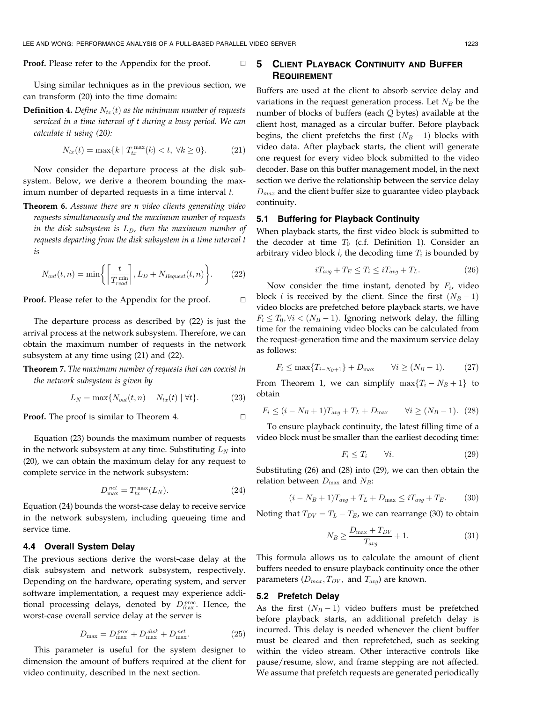**Proof.** Please refer to the Appendix for the proof.  $\Box$ 

Using similar techniques as in the previous section, we can transform (20) into the time domain:

**Definition 4.** Define  $N_{tx}(t)$  as the minimum number of requests serviced in a time interval of t during a busy period. We can calculate it using (20):

$$
N_{tx}(t) = \max\{k \mid T_{tx}^{\max}(k) < t, \ \forall k \ge 0\}. \tag{21}
$$

Now consider the departure process at the disk subsystem. Below, we derive a theorem bounding the maximum number of departed requests in a time interval t.

Theorem 6. Assume there are n video clients generating video requests simultaneously and the maximum number of requests in the disk subsystem is  $L<sub>D</sub>$ , then the maximum number of requests departing from the disk subsystem in a time interval t is

$$
N_{out}(t,n) = \min\bigg\{\bigg[\frac{t}{T_{read}}\bigg], L_D + N_{Request}(t,n)\bigg\}.
$$
 (22)

**Proof.** Please refer to the Appendix for the proof.  $\Box$ 

The departure process as described by (22) is just the arrival process at the network subsystem. Therefore, we can obtain the maximum number of requests in the network subsystem at any time using (21) and (22).

Theorem 7. The maximum number of requests that can coexist in the network subsystem is given by

$$
L_N = \max\{N_{out}(t, n) - N_{tx}(t) \mid \forall t\}.
$$
 (23)

**Proof.** The proof is similar to Theorem 4.  $\Box$ 

Equation (23) bounds the maximum number of requests in the network subsystem at any time. Substituting  $L_N$  into (20), we can obtain the maximum delay for any request to complete service in the network subsystem:

$$
D_{\text{max}}^{net} = T_{tx}^{\text{max}}(L_N). \tag{24}
$$

Equation (24) bounds the worst-case delay to receive service in the network subsystem, including queueing time and service time.

#### 4.4 Overall System Delay

The previous sections derive the worst-case delay at the disk subsystem and network subsystem, respectively. Depending on the hardware, operating system, and server software implementation, a request may experience additional processing delays, denoted by  $D_{\text{max}}^{proc}$ . Hence, the worst-case overall service delay at the server is

$$
D_{\text{max}} = D_{\text{max}}^{\text{proc}} + D_{\text{max}}^{\text{disk}} + D_{\text{max}}^{\text{net}}.
$$
 (25)

This parameter is useful for the system designer to dimension the amount of buffers required at the client for video continuity, described in the next section.

# 5 CLIENT PLAYBACK CONTINUITY AND BUFFER REQUIREMENT

Buffers are used at the client to absorb service delay and variations in the request generation process. Let  $N_B$  be the number of blocks of buffers (each Q bytes) available at the client host, managed as a circular buffer. Before playback begins, the client prefetchs the first  $(N_B - 1)$  blocks with video data. After playback starts, the client will generate one request for every video block submitted to the video decoder. Base on this buffer management model, in the next section we derive the relationship between the service delay  $D_{max}$  and the client buffer size to guarantee video playback continuity.

## 5.1 Buffering for Playback Continuity

When playback starts, the first video block is submitted to the decoder at time  $T_0$  (c.f. Definition 1). Consider an arbitrary video block  $i$ , the decoding time  $T_i$  is bounded by

$$
iT_{avg} + T_E \le T_i \le iT_{avg} + T_L. \tag{26}
$$

Now consider the time instant, denoted by  $F_i$ , video block *i* is received by the client. Since the first  $(N_B - 1)$ video blocks are prefetched before playback starts, we have  $F_i \leq T_0, \forall i < (N_B - 1)$ . Ignoring network delay, the filling time for the remaining video blocks can be calculated from the request-generation time and the maximum service delay as follows:

$$
F_i \le \max\{T_{i-N_B+1}\} + D_{\max} \qquad \forall i \ge (N_B - 1). \tag{27}
$$

From Theorem 1, we can simplify  $\max\{T_i - N_B + 1\}$  to obtain

$$
F_i \le (i - N_B + 1)T_{avg} + T_L + D_{\text{max}} \qquad \forall i \ge (N_B - 1). \tag{28}
$$

To ensure playback continuity, the latest filling time of a video block must be smaller than the earliest decoding time:

$$
F_i \le T_i \qquad \forall i. \tag{29}
$$

Substituting (26) and (28) into (29), we can then obtain the relation between  $D_{\text{max}}$  and  $N_B$ :

$$
(i - N_B + 1)T_{avg} + T_L + D_{\text{max}} \le iT_{avg} + T_E.
$$
 (30)

Noting that  $T_{DV} = T_L - T_E$ , we can rearrange (30) to obtain

$$
N_B \ge \frac{D_{\text{max}} + T_{DV}}{T_{avg}} + 1.
$$
\n(31)

This formula allows us to calculate the amount of client buffers needed to ensure playback continuity once the other parameters ( $D_{max}$ ,  $T_{DV}$ , and  $T_{avg}$ ) are known.

#### 5.2 Prefetch Delay

As the first  $(N_B - 1)$  video buffers must be prefetched before playback starts, an additional prefetch delay is incurred. This delay is needed whenever the client buffer must be cleared and then reprefetched, such as seeking within the video stream. Other interactive controls like pause/resume, slow, and frame stepping are not affected. We assume that prefetch requests are generated periodically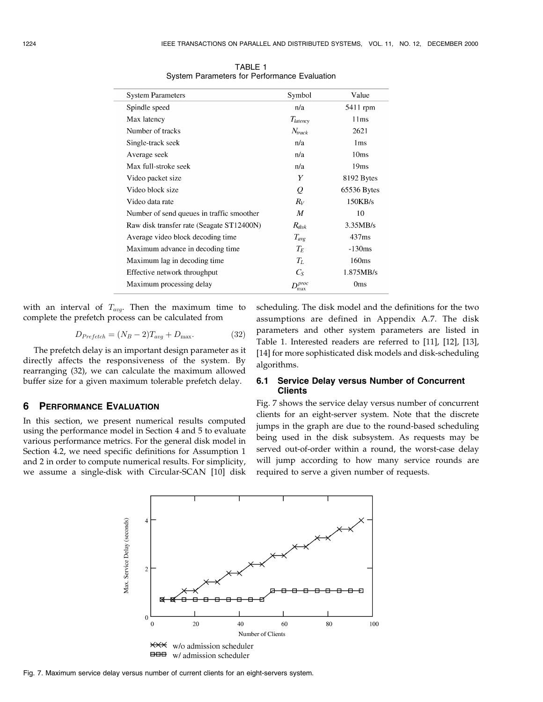| <b>System Parameters</b>                  | Symbol           | Value             |
|-------------------------------------------|------------------|-------------------|
| Spindle speed                             | n/a              | 5411 rpm          |
| Max latency                               | $T_{latency}$    | 11ms              |
| Number of tracks                          | $N_{track}$      | 2621              |
| Single-track seek                         | n/a              | 1 <sub>ms</sub>   |
| Average seek                              | n/a              | 10ms              |
| Max full-stroke seek                      | n/a              | 19ms              |
| Video packet size                         | Y                | 8192 Bytes        |
| Video block size                          | Q                | 65536 Bytes       |
| Video data rate                           | $R_V$            | 150KB/s           |
| Number of send queues in traffic smoother | М                | 10                |
| Raw disk transfer rate (Seagate ST12400N) | $R_{disk}$       | 3.35MB/s          |
| Average video block decoding time         | $T_{avg}$        | 437 <sub>ms</sub> |
| Maximum advance in decoding time          | $T_E$            | $-130ms$          |
| Maximum lag in decoding time              | $T_L$            | 160 <sub>ms</sub> |
| Effective network throughput              | $C_{\rm S}$      | 1.875MB/s         |
| Maximum processing delay                  | $P^{roc}$<br>max | 0 <sub>ms</sub>   |

TABLE 1 System Parameters for Performance Evaluation

with an interval of  $T_{avg}$ . Then the maximum time to complete the prefetch process can be calculated from

$$
D_{Prefetch} = (N_B - 2)T_{avg} + D_{\text{max}}.\tag{32}
$$

The prefetch delay is an important design parameter as it directly affects the responsiveness of the system. By rearranging (32), we can calculate the maximum allowed buffer size for a given maximum tolerable prefetch delay.

#### 6 PERFORMANCE EVALUATION

In this section, we present numerical results computed using the performance model in Section 4 and 5 to evaluate various performance metrics. For the general disk model in Section 4.2, we need specific definitions for Assumption 1 and 2 in order to compute numerical results. For simplicity, we assume a single-disk with Circular-SCAN [10] disk scheduling. The disk model and the definitions for the two assumptions are defined in Appendix A.7. The disk parameters and other system parameters are listed in Table 1. Interested readers are referred to [11], [12], [13], [14] for more sophisticated disk models and disk-scheduling algorithms.

#### 6.1 Service Delay versus Number of Concurrent **Clients**

Fig. 7 shows the service delay versus number of concurrent clients for an eight-server system. Note that the discrete jumps in the graph are due to the round-based scheduling being used in the disk subsystem. As requests may be served out-of-order within a round, the worst-case delay will jump according to how many service rounds are required to serve a given number of requests.



Fig. 7. Maximum service delay versus number of current clients for an eight-servers system.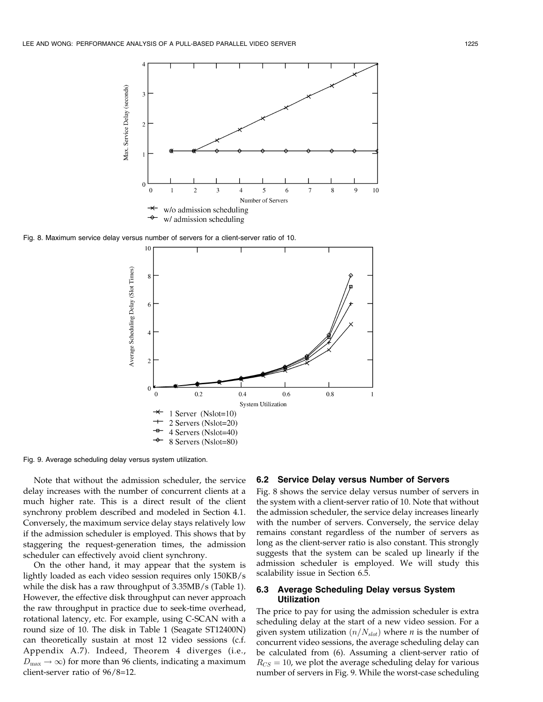

Fig. 8. Maximum service delay versus number of servers for a client-server ratio of 10.



Fig. 9. Average scheduling delay versus system utilization.

Note that without the admission scheduler, the service delay increases with the number of concurrent clients at a much higher rate. This is a direct result of the client synchrony problem described and modeled in Section 4.1. Conversely, the maximum service delay stays relatively low if the admission scheduler is employed. This shows that by staggering the request-generation times, the admission scheduler can effectively avoid client synchrony.

On the other hand, it may appear that the system is lightly loaded as each video session requires only 150KB/s while the disk has a raw throughput of 3.35MB/s (Table 1). However, the effective disk throughput can never approach the raw throughput in practice due to seek-time overhead, rotational latency, etc. For example, using C-SCAN with a round size of 10. The disk in Table 1 (Seagate ST12400N) can theoretically sustain at most 12 video sessions (c.f. Appendix A.7). Indeed, Theorem 4 diverges (i.e.,  $D_{\text{max}} \rightarrow \infty$ ) for more than 96 clients, indicating a maximum client-server ratio of 96/8=12.

#### 6.2 Service Delay versus Number of Servers

Fig. 8 shows the service delay versus number of servers in the system with a client-server ratio of 10. Note that without the admission scheduler, the service delay increases linearly with the number of servers. Conversely, the service delay remains constant regardless of the number of servers as long as the client-server ratio is also constant. This strongly suggests that the system can be scaled up linearly if the admission scheduler is employed. We will study this scalability issue in Section 6.5.

## 6.3 Average Scheduling Delay versus System Utilization

The price to pay for using the admission scheduler is extra scheduling delay at the start of a new video session. For a given system utilization  $(n/N_{slot})$  where *n* is the number of concurrent video sessions, the average scheduling delay can be calculated from (6). Assuming a client-server ratio of  $R_{CS} = 10$ , we plot the average scheduling delay for various number of servers in Fig. 9. While the worst-case scheduling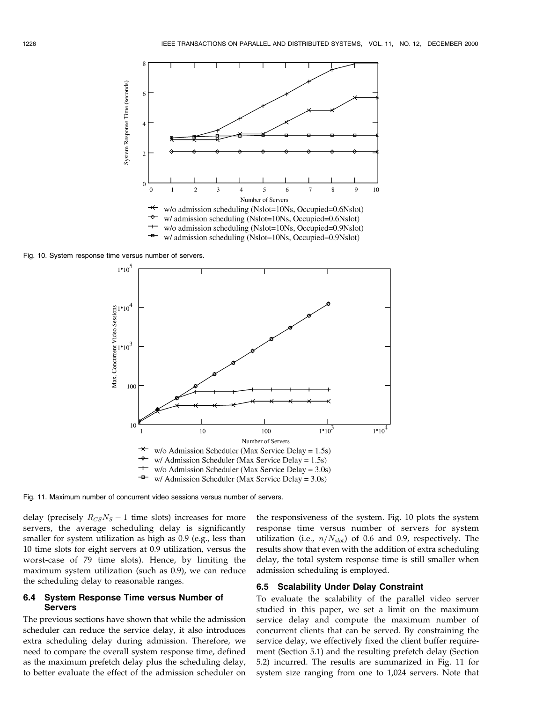

╼ w/ admission scheduling (Nslot=10Ns, Occupied=0.9Nslot)

Fig. 10. System response time versus number of servers.



Fig. 11. Maximum number of concurrent video sessions versus number of servers.

delay (precisely  $R_{CS}N_S - 1$  time slots) increases for more servers, the average scheduling delay is significantly smaller for system utilization as high as 0.9 (e.g., less than 10 time slots for eight servers at 0.9 utilization, versus the worst-case of 79 time slots). Hence, by limiting the maximum system utilization (such as 0.9), we can reduce the scheduling delay to reasonable ranges.

## 6.4 System Response Time versus Number of Servers

The previous sections have shown that while the admission scheduler can reduce the service delay, it also introduces extra scheduling delay during admission. Therefore, we need to compare the overall system response time, defined as the maximum prefetch delay plus the scheduling delay, to better evaluate the effect of the admission scheduler on

the responsiveness of the system. Fig. 10 plots the system response time versus number of servers for system utilization (i.e.,  $n/N_{slot}$ ) of 0.6 and 0.9, respectively. The results show that even with the addition of extra scheduling delay, the total system response time is still smaller when admission scheduling is employed.

## 6.5 Scalability Under Delay Constraint

To evaluate the scalability of the parallel video server studied in this paper, we set a limit on the maximum service delay and compute the maximum number of concurrent clients that can be served. By constraining the service delay, we effectively fixed the client buffer requirement (Section 5.1) and the resulting prefetch delay (Section 5.2) incurred. The results are summarized in Fig. 11 for system size ranging from one to 1,024 servers. Note that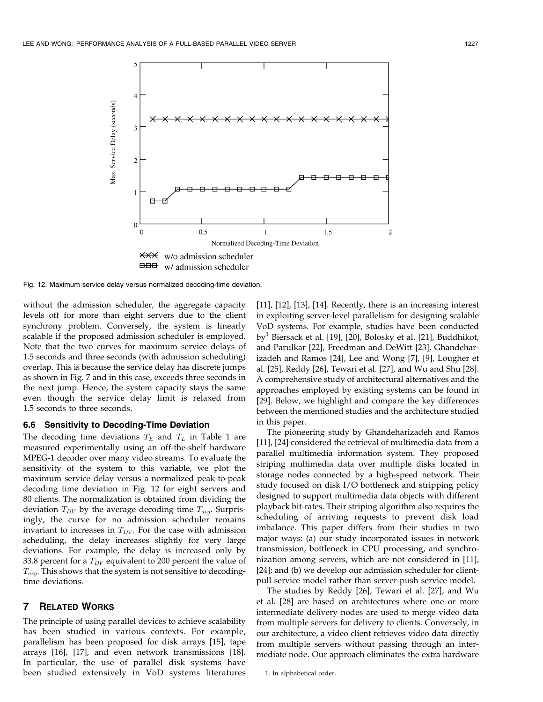

Fig. 12. Maximum service delay versus normalized decoding-time deviation.

without the admission scheduler, the aggregate capacity levels off for more than eight servers due to the client synchrony problem. Conversely, the system is linearly scalable if the proposed admission scheduler is employed. Note that the two curves for maximum service delays of 1.5 seconds and three seconds (with admission scheduling) overlap. This is because the service delay has discrete jumps as shown in Fig. 7 and in this case, exceeds three seconds in the next jump. Hence, the system capacity stays the same even though the service delay limit is relaxed from 1.5 seconds to three seconds.

# 6.6 Sensitivity to Decoding-Time Deviation

The decoding time deviations  $T_E$  and  $T_L$  in Table 1 are measured experimentally using an off-the-shelf hardware MPEG-1 decoder over many video streams. To evaluate the sensitivity of the system to this variable, we plot the maximum service delay versus a normalized peak-to-peak decoding time deviation in Fig. 12 for eight servers and 80 clients. The normalization is obtained from dividing the deviation  $T_{DV}$  by the average decoding time  $T_{ava}$ . Surprisingly, the curve for no admission scheduler remains invariant to increases in  $T_{DV}$ . For the case with admission scheduling, the delay increases slightly for very large deviations. For example, the delay is increased only by 33.8 percent for a  $T_{DV}$  equivalent to 200 percent the value of  $T_{avg}$ . This shows that the system is not sensitive to decodingtime deviations.

# 7 RELATED WORKS

The principle of using parallel devices to achieve scalability has been studied in various contexts. For example, parallelism has been proposed for disk arrays [15], tape arrays [16], [17], and even network transmissions [18]. In particular, the use of parallel disk systems have been studied extensively in VoD systems literatures [11], [12], [13], [14]. Recently, there is an increasing interest in exploiting server-level parallelism for designing scalable VoD systems. For example, studies have been conducted by<sup>1</sup> Biersack et al. [19], [20], Bolosky et al. [21], Buddhikot, and Parulkar [22], Freedman and DeWitt [23], Ghandeharizadeh and Ramos [24], Lee and Wong [7], [9], Lougher et al. [25], Reddy [26], Tewari et al. [27], and Wu and Shu [28]. A comprehensive study of architectural alternatives and the approaches employed by existing systems can be found in [29]. Below, we highlight and compare the key differences between the mentioned studies and the architecture studied in this paper.

The pioneering study by Ghandeharizadeh and Ramos [11], [24] considered the retrieval of multimedia data from a parallel multimedia information system. They proposed striping multimedia data over multiple disks located in storage nodes connected by a high-speed network. Their study focused on disk I/O bottleneck and stripping policy designed to support multimedia data objects with different playback bit-rates. Their striping algorithm also requires the scheduling of arriving requests to prevent disk load imbalance. This paper differs from their studies in two major ways: (a) our study incorporated issues in network transmission, bottleneck in CPU processing, and synchronization among servers, which are not considered in [11], [24]; and (b) we develop our admission scheduler for clientpull service model rather than server-push service model.

The studies by Reddy [26], Tewari et al. [27], and Wu et al. [28] are based on architectures where one or more intermediate delivery nodes are used to merge video data from multiple servers for delivery to clients. Conversely, in our architecture, a video client retrieves video data directly from multiple servers without passing through an intermediate node. Our approach eliminates the extra hardware

1. In alphabetical order.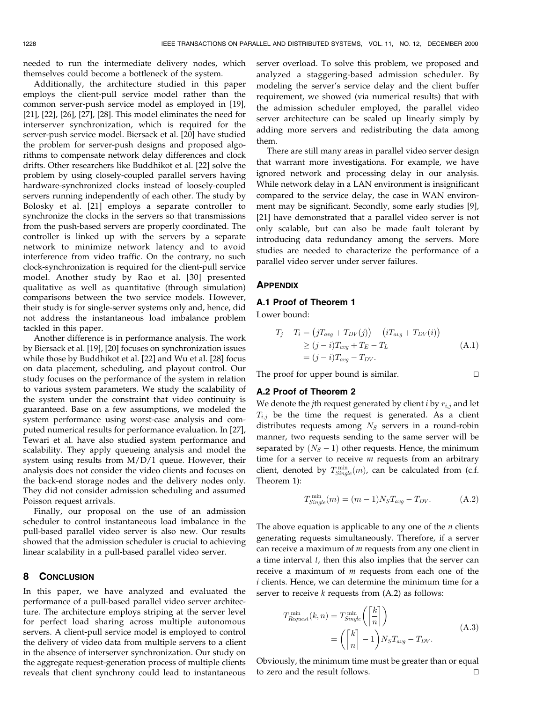needed to run the intermediate delivery nodes, which themselves could become a bottleneck of the system.

Additionally, the architecture studied in this paper employs the client-pull service model rather than the common server-push service model as employed in [19], [21], [22], [26], [27], [28]. This model eliminates the need for interserver synchronization, which is required for the server-push service model. Biersack et al. [20] have studied the problem for server-push designs and proposed algorithms to compensate network delay differences and clock drifts. Other researchers like Buddhikot et al. [22] solve the problem by using closely-coupled parallel servers having hardware-synchronized clocks instead of loosely-coupled servers running independently of each other. The study by Bolosky et al. [21] employs a separate controller to synchronize the clocks in the servers so that transmissions from the push-based servers are properly coordinated. The controller is linked up with the servers by a separate network to minimize network latency and to avoid interference from video traffic. On the contrary, no such clock-synchronization is required for the client-pull service model. Another study by Rao et al. [30] presented qualitative as well as quantitative (through simulation) comparisons between the two service models. However, their study is for single-server systems only and, hence, did not address the instantaneous load imbalance problem tackled in this paper.

Another difference is in performance analysis. The work by Biersack et al. [19], [20] focuses on synchronization issues while those by Buddhikot et al. [22] and Wu et al. [28] focus on data placement, scheduling, and playout control. Our study focuses on the performance of the system in relation to various system parameters. We study the scalability of the system under the constraint that video continuity is guaranteed. Base on a few assumptions, we modeled the system performance using worst-case analysis and computed numerical results for performance evaluation. In [27], Tewari et al. have also studied system performance and scalability. They apply queueing analysis and model the system using results from M/D/1 queue. However, their analysis does not consider the video clients and focuses on the back-end storage nodes and the delivery nodes only. They did not consider admission scheduling and assumed Poisson request arrivals.

Finally, our proposal on the use of an admission scheduler to control instantaneous load imbalance in the pull-based parallel video server is also new. Our results showed that the admission scheduler is crucial to achieving linear scalability in a pull-based parallel video server.

# 8 CONCLUSION

In this paper, we have analyzed and evaluated the performance of a pull-based parallel video server architecture. The architecture employs striping at the server level for perfect load sharing across multiple autonomous servers. A client-pull service model is employed to control the delivery of video data from multiple servers to a client in the absence of interserver synchronization. Our study on the aggregate request-generation process of multiple clients reveals that client synchrony could lead to instantaneous server overload. To solve this problem, we proposed and analyzed a staggering-based admission scheduler. By modeling the server's service delay and the client buffer requirement, we showed (via numerical results) that with the admission scheduler employed, the parallel video server architecture can be scaled up linearly simply by adding more servers and redistributing the data among them.

There are still many areas in parallel video server design that warrant more investigations. For example, we have ignored network and processing delay in our analysis. While network delay in a LAN environment is insignificant compared to the service delay, the case in WAN environment may be significant. Secondly, some early studies [9], [21] have demonstrated that a parallel video server is not only scalable, but can also be made fault tolerant by introducing data redundancy among the servers. More studies are needed to characterize the performance of a parallel video server under server failures.

## **APPENDIX**

## A.1 Proof of Theorem 1

Lower bound:

$$
T_j - T_i = (jT_{avg} + T_{DV}(j)) - (iT_{avg} + T_{DV}(i))
$$
  
\n
$$
\geq (j - i)T_{avg} + T_E - T_L
$$
  
\n
$$
= (j - i)T_{avg} - T_{DV}.
$$
\n(A.1)

The proof for upper bound is similar.  $\square$ 

#### A.2 Proof of Theorem 2

We denote the jth request generated by client  $i$  by  $r_{i,j}$  and let  $T_{i,j}$  be the time the request is generated. As a client distributes requests among  $N_S$  servers in a round-robin manner, two requests sending to the same server will be separated by  $(N_S - 1)$  other requests. Hence, the minimum time for a server to receive  $m$  requests from an arbitrary client, denoted by  $T^{\min}_{Single}(m)$ , can be calculated from (c.f. Theorem 1):

$$
T_{Single}^{\min}(m) = (m-1)N_S T_{avg} - T_{DV}.
$$
 (A.2)

The above equation is applicable to any one of the  $n$  clients generating requests simultaneously. Therefore, if a server can receive a maximum of  $m$  requests from any one client in a time interval  $t$ , then this also implies that the server can receive a maximum of  $m$  requests from each one of the i clients. Hence, we can determine the minimum time for a server to receive  $k$  requests from  $(A.2)$  as follows:

$$
T_{Request}^{\min}(k, n) = T_{Single}^{\min} \left( \left\lceil \frac{k}{n} \right\rceil \right)
$$

$$
= \left( \left\lceil \frac{k}{n} \right\rceil - 1 \right) N_S T_{avg} - T_{DV}.
$$
(A.3)

Obviously, the minimum time must be greater than or equal to zero and the result follows.  $\Box$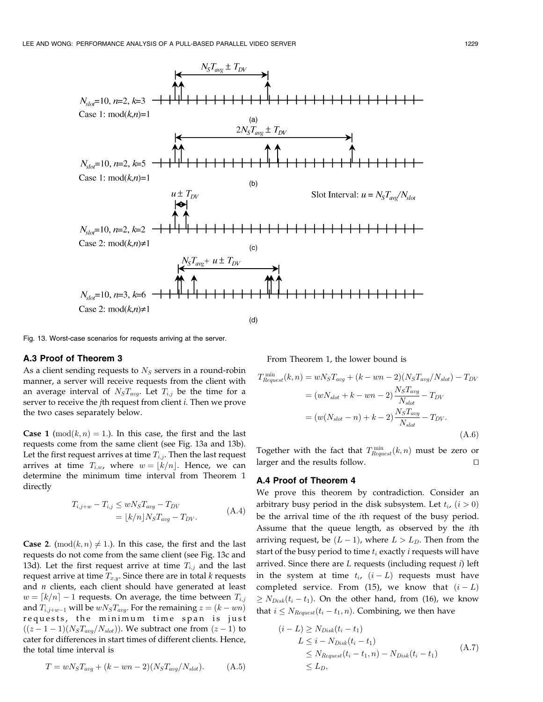

Fig. 13. Worst-case scenarios for requests arriving at the server.

#### A.3 Proof of Theorem 3

As a client sending requests to  $N<sub>S</sub>$  servers in a round-robin manner, a server will receive requests from the client with an average interval of  $N_S T_{avg}$ . Let  $T_{i,j}$  be the time for a server to receive the *j*th request from client *i*. Then we prove the two cases separately below.

**Case 1** (mod( $k, n$ ) = 1.). In this case, the first and the last requests come from the same client (see Fig. 13a and 13b). Let the first request arrives at time  $T_{i,j}$ . Then the last request arrives at time  $T_{i,w}$ , where  $w = \lfloor k/n \rfloor$ . Hence, we can determine the minimum time interval from Theorem 1 directly

$$
T_{i,j+w} - T_{i,j} \le wN_S T_{avg} - T_{DV}
$$
  
=  $\lfloor k/n \rfloor N_S T_{avg} - T_{DV}$ . (A.4)

**Case 2.** (mod( $k, n$ )  $\neq$  1.). In this case, the first and the last requests do not come from the same client (see Fig. 13c and 13d). Let the first request arrive at time  $T_{i,j}$  and the last request arrive at time  $T_{x,y}$ . Since there are in total k requests and  $n$  clients, each client should have generated at least  $w = [k/n] - 1$  requests. On average, the time between  $T_{i,j}$ and  $T_{i,j+w-1}$  will be  $wNsT_{avg}$ . For the remaining  $z = (k - wn)$ requests, the minimum time span is just  $((z - 1 - 1)(N<sub>S</sub>T<sub>avg</sub>/N<sub>slot</sub>)).$  We subtract one from  $(z - 1)$  to cater for differences in start times of different clients. Hence, the total time interval is

$$
T = wN_S T_{avg} + (k - wn - 2)(N_S T_{avg}/N_{slot}).
$$
 (A.5)

From Theorem 1, the lower bound is

$$
T_{Request}^{min}(k, n) = wNsT_{avg} + (k - wn - 2)(NsT_{avg}/N_{slot}) - T_{DV}
$$

$$
= (wN_{slot} + k - wn - 2)\frac{N_S T_{avg}}{N_{slot}} - T_{DV}
$$

$$
= (w(N_{slot} - n) + k - 2)\frac{N_S T_{avg}}{N_{slot}} - T_{DV}.
$$
(A.6)

Together with the fact that  $T_{Request}^{\min}(k,n)$  must be zero or larger and the results follow.  $\Box$ 

#### A.4 Proof of Theorem 4

We prove this theorem by contradiction. Consider an arbitrary busy period in the disk subsystem. Let  $t_i$ ,  $(i > 0)$ be the arrival time of the ith request of the busy period. Assume that the queue length, as observed by the ith arriving request, be  $(L - 1)$ , where  $L > L<sub>D</sub>$ . Then from the start of the busy period to time  $t_i$  exactly *i* requests will have arrived. Since there are  $L$  requests (including request  $i$ ) left in the system at time  $t_i$ ,  $(i - L)$  requests must have completed service. From (15), we know that  $(i - L)$  $\geq N_{Disk}(t_i - t_1)$ . On the other hand, from (16), we know that  $i \leq N_{Request}(t_i - t_1, n)$ . Combining, we then have

$$
(i - L) \ge N_{Disk}(t_i - t_1)
$$
  
\n
$$
L \le i - N_{Disk}(t_i - t_1)
$$
  
\n
$$
\le N_{Request}(t_i - t_1, n) - N_{Disk}(t_i - t_1)
$$
  
\n
$$
\le L_D,
$$
\n(A.7)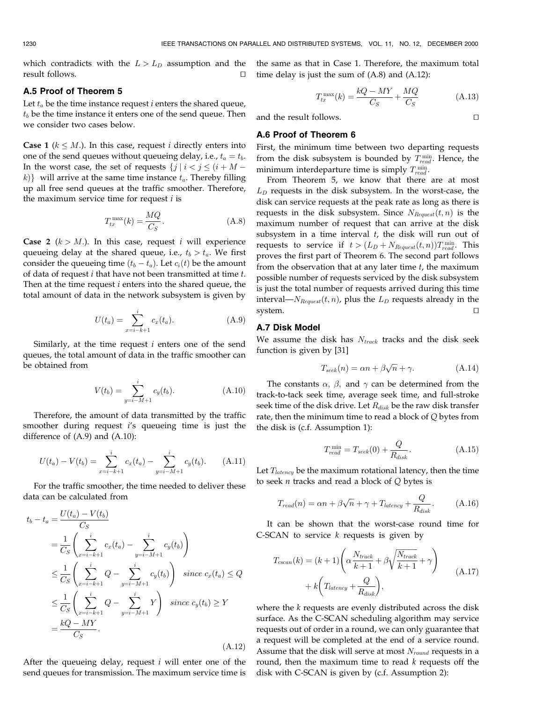which contradicts with the  $L>L_D$  assumption and the result follows.

## A.5 Proof of Theorem 5

Let  $t_a$  be the time instance request *i* enters the shared queue,  $t_b$  be the time instance it enters one of the send queue. Then we consider two cases below.

**Case 1** ( $k \leq M$ .). In this case, request *i* directly enters into one of the send queues without queueing delay, i.e.,  $t_a = t_b$ . In the worst case, the set of requests  $\{j \mid i < j \le (i + M - \}$ k)} will arrive at the same time instance  $t_a$ . Thereby filling up all free send queues at the traffic smoother. Therefore, the maximum service time for request  $i$  is

$$
T_{tx}^{\max}(k) = \frac{MQ}{C_S}.
$$
\n(A.8)

**Case 2** ( $k > M$ .). In this case, request i will experience queueing delay at the shared queue, i.e.,  $t_b > t_a$ . We first consider the queueing time  $(t_b - t_a)$ . Let  $c_i(t)$  be the amount of data of request  $i$  that have not been transmitted at time  $t$ . Then at the time request  $i$  enters into the shared queue, the total amount of data in the network subsystem is given by

$$
U(t_a) = \sum_{x=i-k+1}^{i} c_x(t_a).
$$
 (A.9)

Similarly, at the time request  $i$  enters one of the send queues, the total amount of data in the traffic smoother can be obtained from

$$
V(t_b) = \sum_{y=i-M+1}^{i} c_y(t_b).
$$
 (A.10)

Therefore, the amount of data transmitted by the traffic smoother during request i's queueing time is just the difference of (A.9) and (A.10):

$$
U(t_a) - V(t_b) = \sum_{x=i-k+1}^{i} c_x(t_a) - \sum_{y=i-M+1}^{i} c_y(t_b). \tag{A.11}
$$

For the traffic smoother, the time needed to deliver these data can be calculated from

$$
t_b - t_a = \frac{U(t_a) - V(t_b)}{C_S}
$$
  
\n
$$
= \frac{1}{C_S} \left( \sum_{x=i-k+1}^{i} c_x(t_a) - \sum_{y=i-M+1}^{i} c_y(t_b) \right)
$$
  
\n
$$
\leq \frac{1}{C_S} \left( \sum_{x=i-k+1}^{i} Q - \sum_{y=i-M+1}^{i} c_y(t_b) \right) \text{ since } c_x(t_a) \leq Q
$$
  
\n
$$
\leq \frac{1}{C_S} \left( \sum_{x=i-k+1}^{i} Q - \sum_{y=i-M+1}^{i} Y \right) \text{ since } c_y(t_b) \geq Y
$$
  
\n
$$
= \frac{kQ - MY}{C_S}.
$$
  
\n(A.12)

After the queueing delay, request  $i$  will enter one of the send queues for transmission. The maximum service time is the same as that in Case 1. Therefore, the maximum total time delay is just the sum of (A.8) and (A.12):

$$
T_{tx}^{\max}(k) = \frac{kQ - MY}{C_S} + \frac{MQ}{C_S}
$$
 (A.13)

and the result follows.  $\Box$ 

#### A.6 Proof of Theorem 6

First, the minimum time between two departing requests from the disk subsystem is bounded by  $T_{read}^{min}$ . Hence, the minimum interdeparture time is simply  $T^{\,\min}_{read}.$ 

From Theorem 5, we know that there are at most  $L_D$  requests in the disk subsystem. In the worst-case, the disk can service requests at the peak rate as long as there is requests in the disk subsystem. Since  $N_{Request}(t, n)$  is the maximum number of request that can arrive at the disk subsystem in a time interval  $t$ , the disk will run out of requests to service if  $t > (L_D + N_{Request}(t, n))T_{read}^{\min}$ . This proves the first part of Theorem 6. The second part follows from the observation that at any later time  $t$ , the maximum possible number of requests serviced by the disk subsystem is just the total number of requests arrived during this time interval— $N_{Request}(t, n)$ , plus the  $L_D$  requests already in the  $\Box$ system.  $\Box$ 

#### A.7 Disk Model

We assume the disk has  $N_{track}$  tracks and the disk seek function is given by [31]

$$
T_{seek}(n) = \alpha n + \beta \sqrt{n} + \gamma.
$$
 (A.14)

The constants  $\alpha$ ,  $\beta$ , and  $\gamma$  can be determined from the track-to-tack seek time, average seek time, and full-stroke seek time of the disk drive. Let  $R_{disk}$  be the raw disk transfer rate, then the minimum time to read a block of Q bytes from the disk is (c.f. Assumption 1):

$$
T_{read}^{\min} = T_{seek}(0) + \frac{Q}{R_{disk}}.\tag{A.15}
$$

Let  $T_{\text{latency}}$  be the maximum rotational latency, then the time to seek  $n$  tracks and read a block of  $Q$  bytes is

$$
T_{read}(n) = \alpha n + \beta \sqrt{n} + \gamma + T_{latency} + \frac{Q}{R_{disk}}.
$$
 (A.16)

It can be shown that the worst-case round time for C-SCAN to service  $k$  requests is given by

$$
T_{\text{cscan}}(k) = (k+1) \left( \alpha \frac{N_{\text{track}}}{k+1} + \beta \sqrt{\frac{N_{\text{track}}}{k+1}} + \gamma \right) + k \left( T_{\text{latency}} + \frac{Q}{R_{\text{disk}}} \right), \tag{A.17}
$$

where the  $k$  requests are evenly distributed across the disk surface. As the C-SCAN scheduling algorithm may service requests out of order in a round, we can only guarantee that a request will be completed at the end of a service round. Assume that the disk will serve at most  $N_{round}$  requests in a round, then the maximum time to read  $k$  requests off the disk with C-SCAN is given by (c.f. Assumption 2):